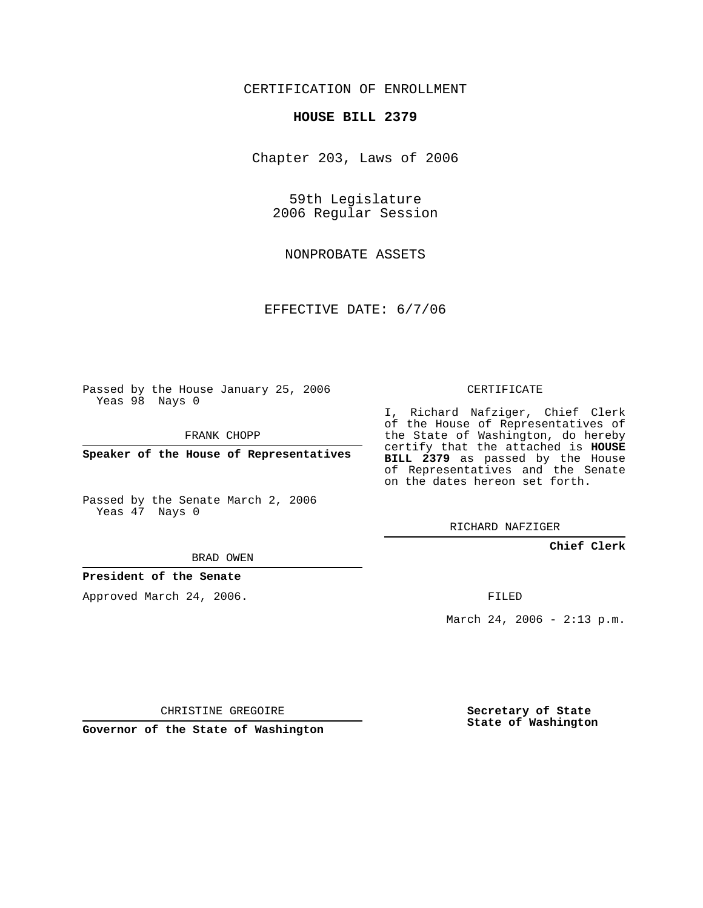## CERTIFICATION OF ENROLLMENT

#### **HOUSE BILL 2379**

Chapter 203, Laws of 2006

59th Legislature 2006 Regular Session

NONPROBATE ASSETS

EFFECTIVE DATE: 6/7/06

Passed by the House January 25, 2006 Yeas 98 Nays 0

FRANK CHOPP

**Speaker of the House of Representatives**

Passed by the Senate March 2, 2006 Yeas 47 Nays 0

# CERTIFICATE

I, Richard Nafziger, Chief Clerk of the House of Representatives of the State of Washington, do hereby certify that the attached is **HOUSE BILL 2379** as passed by the House of Representatives and the Senate on the dates hereon set forth.

RICHARD NAFZIGER

### **Chief Clerk**

BRAD OWEN

### **President of the Senate**

Approved March 24, 2006.

FILED

March 24, 2006 - 2:13 p.m.

CHRISTINE GREGOIRE

**Governor of the State of Washington**

**Secretary of State State of Washington**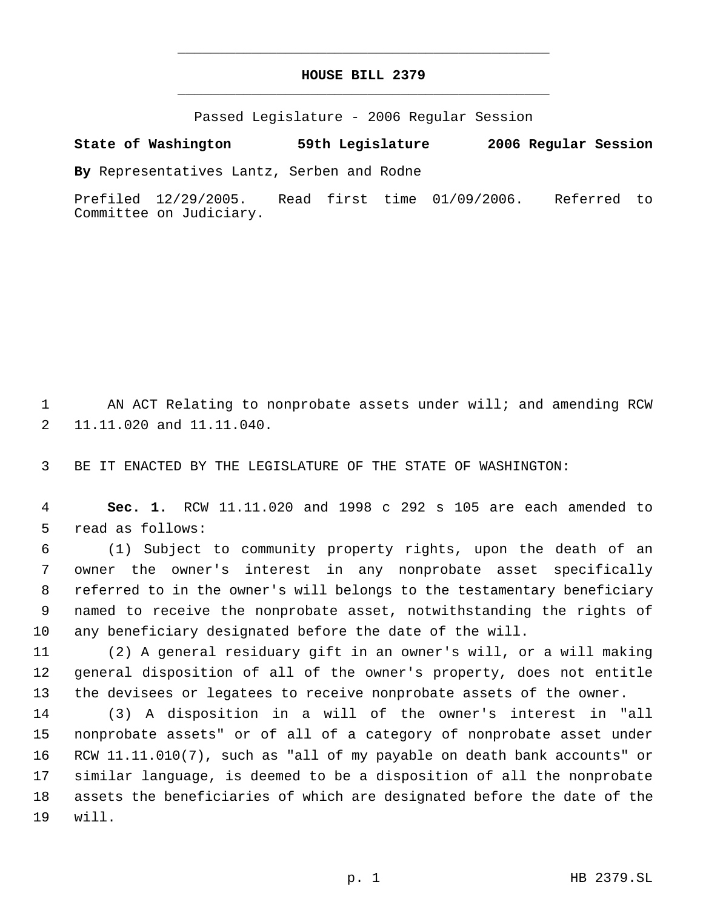## **HOUSE BILL 2379** \_\_\_\_\_\_\_\_\_\_\_\_\_\_\_\_\_\_\_\_\_\_\_\_\_\_\_\_\_\_\_\_\_\_\_\_\_\_\_\_\_\_\_\_\_

\_\_\_\_\_\_\_\_\_\_\_\_\_\_\_\_\_\_\_\_\_\_\_\_\_\_\_\_\_\_\_\_\_\_\_\_\_\_\_\_\_\_\_\_\_

Passed Legislature - 2006 Regular Session

### **State of Washington 59th Legislature 2006 Regular Session**

**By** Representatives Lantz, Serben and Rodne

Prefiled 12/29/2005. Read first time 01/09/2006. Referred to Committee on Judiciary.

 AN ACT Relating to nonprobate assets under will; and amending RCW 11.11.020 and 11.11.040.

BE IT ENACTED BY THE LEGISLATURE OF THE STATE OF WASHINGTON:

 **Sec. 1.** RCW 11.11.020 and 1998 c 292 s 105 are each amended to read as follows:

 (1) Subject to community property rights, upon the death of an owner the owner's interest in any nonprobate asset specifically referred to in the owner's will belongs to the testamentary beneficiary named to receive the nonprobate asset, notwithstanding the rights of any beneficiary designated before the date of the will.

 (2) A general residuary gift in an owner's will, or a will making general disposition of all of the owner's property, does not entitle the devisees or legatees to receive nonprobate assets of the owner.

 (3) A disposition in a will of the owner's interest in "all nonprobate assets" or of all of a category of nonprobate asset under RCW 11.11.010(7), such as "all of my payable on death bank accounts" or similar language, is deemed to be a disposition of all the nonprobate assets the beneficiaries of which are designated before the date of the will.